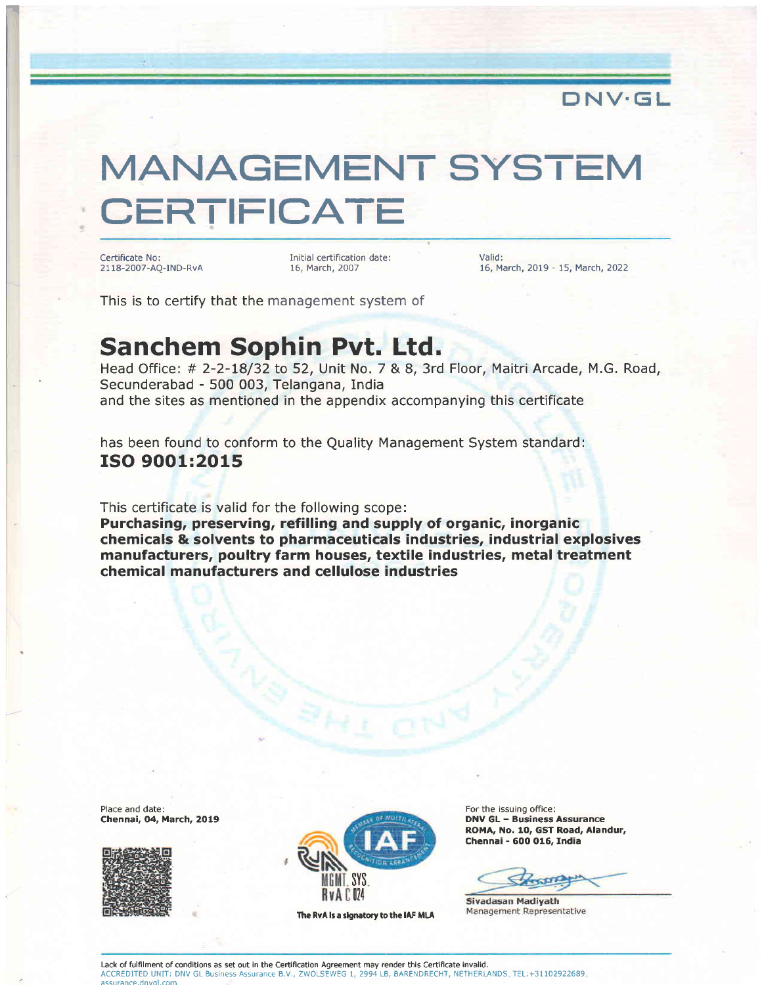

## MANAGEMENT SYSTEM **CERTIFICATE**

Certificate No: 21 18-2007-AQ-IND-RvA

Initial certification date : 16, March,2007

Valid: 16, March, 2019 - 15, March,2O22

This is to certify that the management system of

## Sanchem Sophin Pvt. Ltd.

Head Office: # 2-2-18/32 to 52, Unit No. 7 & 8, 3rd Floor, Maitri Arcade, M.G. Road, and the sites as mentioned in the appendix accompanying this certificate Secunderabad - 500 003, Telangana, India

has been found to conform to the Quality Management System standard: ISO 9OO1:2015

This certificate is valid for the following scope:

Purchasing, preserving, refilling and supply of organic, inorganic chemicals & solvents to pharmaceuticals industries, industrial explosives manufacturers, poultry farm houses, textile industries, metal treatment chemical manufacturers and cellulose industries

Place and date: Chennai, 04, March, 2019





The RvA is a signatory to the IAF MLA

For the issuing office: DNV GL - Business Assurance ROMA, No. 10, GST Road, Alandur, Chennai - 60O O16, India

Sivadasan Madiyath Management Representative